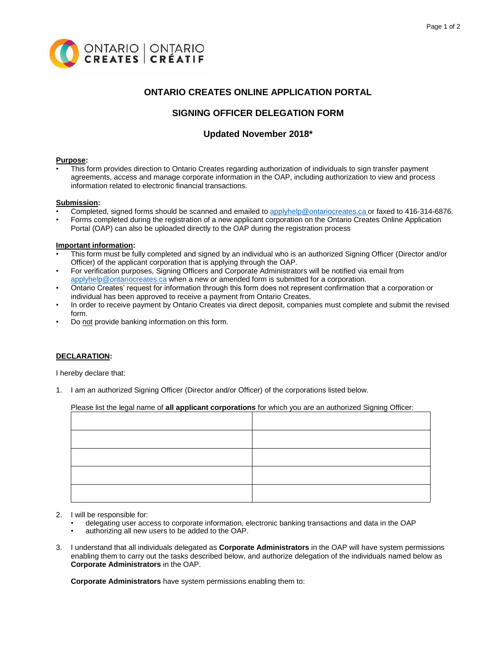

# **ONTARIO CREATES ONLINE APPLICATION PORTAL**

# **SIGNING OFFICER DELEGATION FORM**

# **Updated November 2018\***

### **Purpose:**

• This form provides direction to Ontario Creates regarding authorization of individuals to sign transfer payment agreements, access and manage corporate information in the OAP, including authorization to view and process information related to electronic financial transactions.

## **Submission:**

- Completed, signed forms should be scanned and emailed to [applyhelp@ontariocreates.ca](mailto:applyhelp@ontariocreates.ca) or faxed to 416-314-6876.
- Forms completed during the registration of a new applicant corporation on the Ontario Creates Online Application Portal (OAP) can also be uploaded directly to the OAP during the registration process

### **Important information:**

- This form must be fully completed and signed by an individual who is an authorized Signing Officer (Director and/or Officer) of the applicant corporation that is applying through the OAP.
- For verification purposes, Signing Officers and Corporate Administrators will be notified via email from [applyhelp@ontariocreates.ca](mailto:applyhelp@ontariocreates.ca) when a new or amended form is submitted for a corporation.
- Ontario Creates' request for information through this form does not represent confirmation that a corporation or individual has been approved to receive a payment from Ontario Creates.
- In order to receive payment by Ontario Creates via direct deposit, companies must complete and submit the revised form.
- Do not provide banking information on this form.

## **DECLARATION:**

I hereby declare that:

1. I am an authorized Signing Officer (Director and/or Officer) of the corporations listed below.

## Please list the legal name of **all applicant corporations** for which you are an authorized Signing Officer:

- 2. I will be responsible for:
	- delegating user access to corporate information, electronic banking transactions and data in the OAP
	- authorizing all new users to be added to the OAP.
- 3. I understand that all individuals delegated as **Corporate Administrators** in the OAP will have system permissions enabling them to carry out the tasks described below, and authorize delegation of the individuals named below as **Corporate Administrators** in the OAP.

**Corporate Administrators** have system permissions enabling them to: